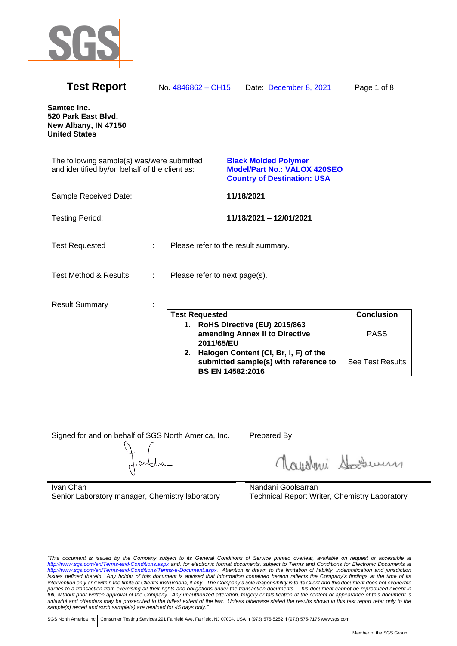

| <b>Test Report</b>                                                                          |    | No. 4846862 - CH15                  |            | Date: December 8, 2021                                                                                   | Page 1 of 8                 |
|---------------------------------------------------------------------------------------------|----|-------------------------------------|------------|----------------------------------------------------------------------------------------------------------|-----------------------------|
| Samtec Inc.<br>520 Park East Blvd.<br>New Albany, IN 47150<br><b>United States</b>          |    |                                     |            |                                                                                                          |                             |
| The following sample(s) was/were submitted<br>and identified by/on behalf of the client as: |    |                                     |            | <b>Black Molded Polymer</b><br><b>Model/Part No.: VALOX 420SEO</b><br><b>Country of Destination: USA</b> |                             |
| Sample Received Date:                                                                       |    |                                     | 11/18/2021 |                                                                                                          |                             |
| <b>Testing Period:</b>                                                                      |    |                                     |            | 11/18/2021 - 12/01/2021                                                                                  |                             |
| <b>Test Requested</b>                                                                       | t. | Please refer to the result summary. |            |                                                                                                          |                             |
| <b>Test Method &amp; Results</b>                                                            | ÷  | Please refer to next page(s).       |            |                                                                                                          |                             |
| <b>Result Summary</b>                                                                       |    | $T - 10 - 1$<br>المتحديث            |            |                                                                                                          | $\bigcap$ and all $\bigcap$ |

| <b>Test Requested</b>                                                                                        | <b>Conclusion</b>       |
|--------------------------------------------------------------------------------------------------------------|-------------------------|
| 1. RoHS Directive (EU) 2015/863<br>amending Annex II to Directive<br>2011/65/EU                              | <b>PASS</b>             |
| 2. Halogen Content (CI, Br, I, F) of the<br>submitted sample(s) with reference to<br><b>BS EN 14582:2016</b> | <b>See Test Results</b> |

Signed for and on behalf of SGS North America, Inc. Prepared By:

Royalmi Souri

Ivan Chan Senior Laboratory manager, Chemistry laboratory Nandani Goolsarran Technical Report Writer, Chemistry Laboratory

*"This document is issued by the Company subject to its General Conditions of Service printed overleaf, available on request or accessible at <http://www.sgs.com/en/Terms-and-Conditions.aspx> and, for electronic format documents, subject to Terms and Conditions for Electronic Documents at [http://www.sgs.com/en/Terms-and-Conditions/Terms-e-Document.aspx.](http://www.sgs.com/en/Terms-and-Conditions/Terms-e-Document.aspx) Attention is drawn to the limitation of liability, indemnification and jurisdiction issues defined therein. Any holder of this document is advised that information contained hereon reflects the Company's findings at the time of its intervention only and within the limits of Client's instructions, if any. The Company's sole responsibility is to its Client and this document does not exonerate parties to a transaction from exercising all their rights and obligations under the transaction documents. This document cannot be reproduced except in full, without prior written approval of the Company. Any unauthorized alteration, forgery or falsification of the content or appearance of this document is unlawful and offenders may be prosecuted to the fullest extent of the law. Unless otherwise stated the results shown in this test report refer only to the sample(s) tested and such sample(s) are retained for 45 days only."*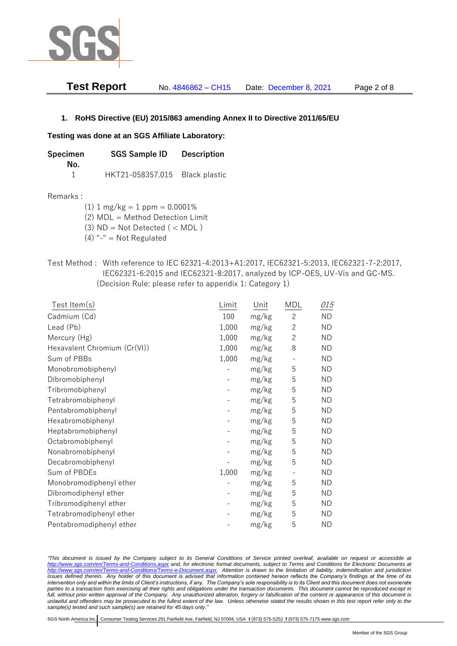

| <b>Test Report</b> | No. 4846862 - CH15 | Date: December 8, 2021 | Page 2 of 8 |
|--------------------|--------------------|------------------------|-------------|
|--------------------|--------------------|------------------------|-------------|

### **1. RoHS Directive (EU) 2015/863 amending Annex II to Directive 2011/65/EU**

#### **Testing was done at an SGS Affiliate Laboratory:**

| Specimen | <b>SGS Sample ID</b>           | <b>Description</b> |  |
|----------|--------------------------------|--------------------|--|
| No.      |                                |                    |  |
|          | HKT21-058357.015 Black plastic |                    |  |

#### Remarks :

(1)  $1 \text{ mg/kg} = 1 \text{ ppm} = 0.0001\%$ 

(2) MDL = Method Detection Limit

- (3)  $ND = Not detected$  ( < MDL)
- (4) "-" = Not Regulated
- Test Method : With reference to IEC 62321-4:2013+A1:2017, IEC62321-5:2013, IEC62321-7-2:2017, IEC62321-6:2015 and IEC62321-8:2017, analyzed by ICP-OES, UV-Vis and GC-MS. (Decision Rule: please refer to appendix 1: Category 1)

| Test Item(s)                 | Limit | Unit  | MDL            | 015       |
|------------------------------|-------|-------|----------------|-----------|
| Cadmium (Cd)                 | 100   | mg/kg | $\overline{c}$ | <b>ND</b> |
| Lead (Pb)                    | 1,000 | mg/kg | $\overline{2}$ | <b>ND</b> |
| Mercury (Hg)                 | 1,000 | mg/kg | $\overline{2}$ | <b>ND</b> |
| Hexavalent Chromium (Cr(VI)) | 1,000 | mg/kg | 8              | <b>ND</b> |
| Sum of PBBs                  | 1,000 | mg/kg |                | <b>ND</b> |
| Monobromobiphenyl            |       | mg/kg | 5              | <b>ND</b> |
| Dibromobiphenyl              |       | mg/kg | 5              | <b>ND</b> |
| Tribromobiphenyl             |       | mg/kg | 5              | <b>ND</b> |
| Tetrabromobiphenyl           |       | mg/kg | 5              | <b>ND</b> |
| Pentabromobiphenyl           |       | mg/kg | 5              | <b>ND</b> |
| Hexabromobiphenyl            |       | mg/kg | 5              | <b>ND</b> |
| Heptabromobiphenyl           |       | mg/kg | 5              | <b>ND</b> |
| Octabromobiphenyl            |       | mg/kg | 5              | <b>ND</b> |
| Nonabromobiphenyl            |       | mg/kg | 5              | <b>ND</b> |
| Decabromobiphenyl            |       | mg/kg | 5              | <b>ND</b> |
| Sum of PBDEs                 | 1,000 | mg/kg |                | ND        |
| Monobromodiphenyl ether      |       | mg/kg | 5              | <b>ND</b> |
| Dibromodiphenyl ether        |       | mg/kg | 5              | <b>ND</b> |
| Tribromodiphenyl ether       |       | mg/kg | 5              | <b>ND</b> |
| Tetrabromodiphenyl ether     |       | mg/kg | 5              | <b>ND</b> |
| Pentabromodiphenyl ether     |       | mg/kg | 5              | ΝD        |

*"This document is issued by the Company subject to its General Conditions of Service printed overleaf, available on request or accessible at <http://www.sgs.com/en/Terms-and-Conditions.aspx> and, for electronic format documents, subject to Terms and Conditions for Electronic Documents at [http://www.sgs.com/en/Terms-and-Conditions/Terms-e-Document.aspx.](http://www.sgs.com/en/Terms-and-Conditions/Terms-e-Document.aspx) Attention is drawn to the limitation of liability, indemnification and jurisdiction issues defined therein. Any holder of this document is advised that information contained hereon reflects the Company's findings at the time of its intervention only and within the limits of Client's instructions, if any. The Company's sole responsibility is to its Client and this document does not exonerate*  parties to a transaction from exercising all their rights and obligations under the transaction documents. This document cannot be reproduced except in *full, without prior written approval of the Company. Any unauthorized alteration, forgery or falsification of the content or appearance of this document is unlawful and offenders may be prosecuted to the fullest extent of the law. Unless otherwise stated the results shown in this test report refer only to the sample(s) tested and such sample(s) are retained for 45 days only."*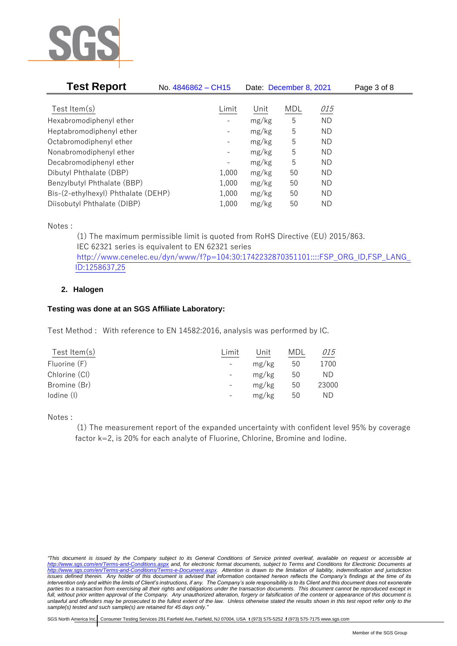

| <b>Test Report</b>                  | No. 4846862 - CH15           |       | Date: December 8, 2021 |           | Page 3 of 8 |
|-------------------------------------|------------------------------|-------|------------------------|-----------|-------------|
|                                     |                              |       |                        |           |             |
| Test Item $(s)$                     | Limit                        | Unit  | <b>MDL</b>             | 015       |             |
| Hexabromodiphenyl ether             |                              | mg/kg | 5                      | <b>ND</b> |             |
| Heptabromodiphenyl ether            |                              | mg/kg | 5                      | ND        |             |
| Octabromodiphenyl ether             | -                            | mg/kg | 5                      | ΝD        |             |
| Nonabromodiphenyl ether             | -                            | mg/kg | 5                      | ΝD        |             |
| Decabromodiphenyl ether             | $\qquad \qquad \blacksquare$ | mg/kg | 5                      | ΝD        |             |
| Dibutyl Phthalate (DBP)             | 1,000                        | mg/kg | 50                     | ΝD        |             |
| Benzylbutyl Phthalate (BBP)         | 1,000                        | mg/kg | 50                     | ΝD        |             |
| Bis-(2-ethylhexyl) Phthalate (DEHP) | 1,000                        | mg/kg | 50                     | ΝD        |             |
| Diisobutyl Phthalate (DIBP)         | 1,000                        | mg/kg | 50                     | ND        |             |

Notes :

(1) The maximum permissible limit is quoted from RoHS Directive (EU) 2015/863. IEC 62321 series is equivalent to EN 62321 series [http://www.cenelec.eu/dyn/www/f?p=104:30:1742232870351101::::FSP\\_ORG\\_ID,FSP\\_LANG\\_](http://www.cenelec.eu/dyn/www/f?p=104:30:1742232870351101::::FSP_ORG_ID,FSP_LANG_ID:1258637,25) [ID:1258637,25](http://www.cenelec.eu/dyn/www/f?p=104:30:1742232870351101::::FSP_ORG_ID,FSP_LANG_ID:1258637,25)

## **2. Halogen**

### **Testing was done at an SGS Affiliate Laboratory:**

Test Method : With reference to EN 14582:2016, analysis was performed by IC.

| Test Item $(s)$ | Limit                    | Unit  | MDL | <i>015</i> |
|-----------------|--------------------------|-------|-----|------------|
| Fluorine (F)    | $\overline{\phantom{a}}$ | mg/kg | 50  | 1700       |
| Chlorine (CI)   | $-$                      | mg/kg | 50  | ND.        |
| Bromine (Br)    | $\overline{\phantom{a}}$ | mg/kg | 50  | 23000      |
| lodine (I)      |                          | mg/kg | 50  | ND         |
|                 |                          |       |     |            |

Notes :

(1) The measurement report of the expanded uncertainty with confident level 95% by coverage factor k=2, is 20% for each analyte of Fluorine, Chlorine, Bromine and Iodine.

*<sup>&</sup>quot;This document is issued by the Company subject to its General Conditions of Service printed overleaf, available on request or accessible at <http://www.sgs.com/en/Terms-and-Conditions.aspx> and, for electronic format documents, subject to Terms and Conditions for Electronic Documents at [http://www.sgs.com/en/Terms-and-Conditions/Terms-e-Document.aspx.](http://www.sgs.com/en/Terms-and-Conditions/Terms-e-Document.aspx) Attention is drawn to the limitation of liability, indemnification and jurisdiction issues defined therein. Any holder of this document is advised that information contained hereon reflects the Company's findings at the time of its intervention only and within the limits of Client's instructions, if any. The Company's sole responsibility is to its Client and this document does not exonerate*  parties to a transaction from exercising all their rights and obligations under the transaction documents. This document cannot be reproduced except in *full, without prior written approval of the Company. Any unauthorized alteration, forgery or falsification of the content or appearance of this document is unlawful and offenders may be prosecuted to the fullest extent of the law. Unless otherwise stated the results shown in this test report refer only to the sample(s) tested and such sample(s) are retained for 45 days only."*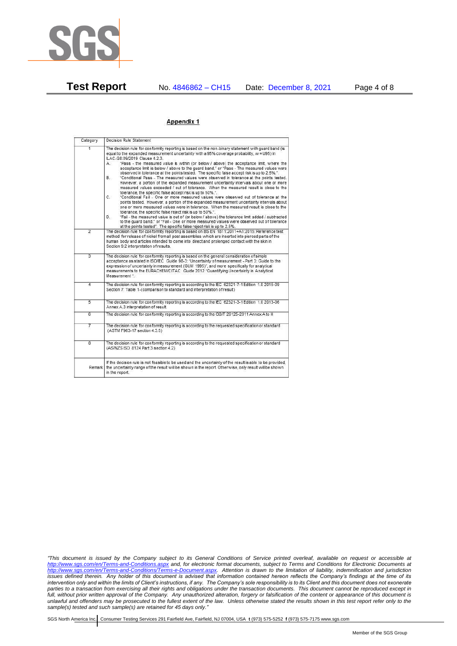

**Test Report** No. 4846862 – CH15 Date: December 8, 2021 Page 4 of 8

#### Appendix 1

| Category       | Decision Rule Statement                                                                                                                                                                                                                                                                                                                                                                                                                                                                                                                                                                                                                                                                                                                                                                                                                                                                                                                                                                                                                                                                                                                                                                                                                                                                                                                                                                                                                                                                                                    |
|----------------|----------------------------------------------------------------------------------------------------------------------------------------------------------------------------------------------------------------------------------------------------------------------------------------------------------------------------------------------------------------------------------------------------------------------------------------------------------------------------------------------------------------------------------------------------------------------------------------------------------------------------------------------------------------------------------------------------------------------------------------------------------------------------------------------------------------------------------------------------------------------------------------------------------------------------------------------------------------------------------------------------------------------------------------------------------------------------------------------------------------------------------------------------------------------------------------------------------------------------------------------------------------------------------------------------------------------------------------------------------------------------------------------------------------------------------------------------------------------------------------------------------------------------|
| $\overline{1}$ | The decision rule for conformity reporting is based on the non-binary statement with quard band (is<br>equal to the expanded measurement uncertainty with a 95% coverage probability, w = U95) in<br>ILAC-G8:09/2019 Clause 4.2.3.<br>"Pass - the measured value is within (or below / above) the acceptance limit, where the<br>А.<br>acceptance limit is below / above to the quard band." or "Pass - The measured values were<br>observed in tolerance at the points tested. The specific false accept risk is up to 2.5%.".<br><b>B</b> .<br>"Conditional Pass - The measured values were observed in tolerance at the points tested.<br>However, a portion of the expanded measurement uncertainty intervals about one or more<br>measured values exceeded / out of tolerance. When the measured result is close to the<br>tolerance, the specific false accept risk is up to 50%.".<br>C.<br>"Conditional Fail - One or more measured values were observed out of tolerance at the<br>points tested. However, a portion of the expanded measurement uncertainty intervals about<br>one or more measured values were in tolerance. When the measured result is close to the<br>tolerance, the specific false reject risk is up to 50%.".<br>"Fail - the measured value is out of (or below / above) the tolerance limit added / subtracted<br>D.<br>to the quard band." or "Fail - One or more measured values were observed out of tolerance<br>at the points tested". The specific false reject risk is up to 2.5%. |
| $\overline{2}$ | The decision rule for conformity reporting is based on BS EN 1811:2011+A1:2015: Reference test<br>method for release of nickel from all post assemblies which are inserted into pierced parts of the<br>human body and articles intended to come into direct and prolonged contact with the skin in<br>Section 9.2 interpretation of results.                                                                                                                                                                                                                                                                                                                                                                                                                                                                                                                                                                                                                                                                                                                                                                                                                                                                                                                                                                                                                                                                                                                                                                              |
| $\overline{3}$ | The decision rule for conformity reporting is based on the general consideration of simple<br>acceptance as stated in ISO/IEC Guide 98-3: "Uncertainty of measurement - Part 3: Guide to the<br>expression of uncertainty in measurement (GUM 1995)", and more specifically for analytical<br>measurements to the EURACHEM/CITAC Guide 2012 "Quantifying Uncertainty in Analytical<br>Measurement <sup>*</sup>                                                                                                                                                                                                                                                                                                                                                                                                                                                                                                                                                                                                                                                                                                                                                                                                                                                                                                                                                                                                                                                                                                             |
| 4              | The decision rule for conformity reporting is according to the IEC 62321-7-1 Edition 1.0 2015-09<br>Section 7: Table 1-(comparison to standard and interpretation of result)                                                                                                                                                                                                                                                                                                                                                                                                                                                                                                                                                                                                                                                                                                                                                                                                                                                                                                                                                                                                                                                                                                                                                                                                                                                                                                                                               |
| $\overline{5}$ | The decision rule for conformity reporting is according to the IEC 62321-3-1 Edition 1.0 2013-06<br>Annex A.3 interpretation of result.                                                                                                                                                                                                                                                                                                                                                                                                                                                                                                                                                                                                                                                                                                                                                                                                                                                                                                                                                                                                                                                                                                                                                                                                                                                                                                                                                                                    |
| 6              | The decision rule for conformity reporting is according to the GB/T 26125-2011 Annex A to H                                                                                                                                                                                                                                                                                                                                                                                                                                                                                                                                                                                                                                                                                                                                                                                                                                                                                                                                                                                                                                                                                                                                                                                                                                                                                                                                                                                                                                |
| 7              | The decision rule for conformity reporting is according to the requested specification or standard<br>(ASTM F963-17 section 4.3.5)                                                                                                                                                                                                                                                                                                                                                                                                                                                                                                                                                                                                                                                                                                                                                                                                                                                                                                                                                                                                                                                                                                                                                                                                                                                                                                                                                                                         |
| $\overline{8}$ | The decision rule for conformity reporting is according to the requested specification or standard<br>(AS/NZS ISO 8124 Part 3 section 4.2)                                                                                                                                                                                                                                                                                                                                                                                                                                                                                                                                                                                                                                                                                                                                                                                                                                                                                                                                                                                                                                                                                                                                                                                                                                                                                                                                                                                 |
| Remark I       | If the decision rule is not feasible to be used and the uncertainty of the result is able to be provided.<br>the uncertainty range of the result will be shown in the report. Otherwise, only result will be shown<br>in the report.                                                                                                                                                                                                                                                                                                                                                                                                                                                                                                                                                                                                                                                                                                                                                                                                                                                                                                                                                                                                                                                                                                                                                                                                                                                                                       |

*"This document is issued by the Company subject to its General Conditions of Service printed overleaf, available on request or accessible at <http://www.sgs.com/en/Terms-and-Conditions.aspx> and, for electronic format documents, subject to Terms and Conditions for Electronic Documents at [http://www.sgs.com/en/Terms-and-Conditions/Terms-e-Document.aspx.](http://www.sgs.com/en/Terms-and-Conditions/Terms-e-Document.aspx) Attention is drawn to the limitation of liability, indemnification and jurisdiction issues defined therein. Any holder of this document is advised that information contained hereon reflects the Company's findings at the time of its intervention only and within the limits of Client's instructions, if any. The Company's sole responsibility is to its Client and this document does not exonerate parties to a transaction from exercising all their rights and obligations under the transaction documents. This document cannot be reproduced except in full, without prior written approval of the Company. Any unauthorized alteration, forgery or falsification of the content or appearance of this document is unlawful and offenders may be prosecuted to the fullest extent of the law. Unless otherwise stated the results shown in this test report refer only to the sample(s) tested and such sample(s) are retained for 45 days only."*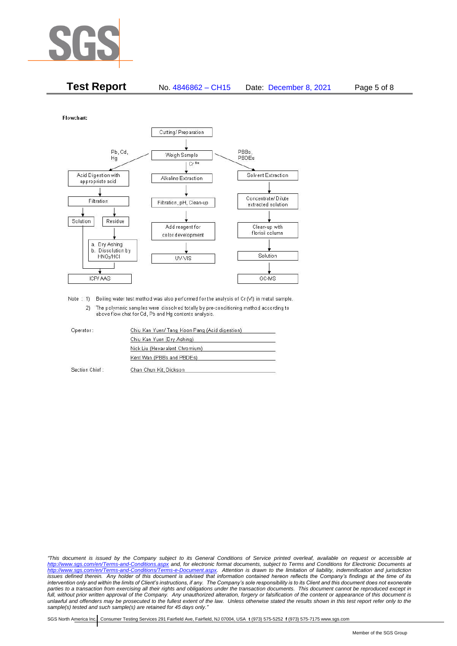

| <b>Test Report</b> | No. 4846862 - CH15 | Date: December 8, 2021 | Page 5 of 8 |
|--------------------|--------------------|------------------------|-------------|
|--------------------|--------------------|------------------------|-------------|

Flowchart:



Note : 1) Boiling water test method was also performed for the analysis of Cr (VI) in metal sample. 2) The polymeric samples were dissolved totally by pre-conditioning method according to above flow chat for Cd, Pb and Hg contents analysis

| Operator:      | Chiu Kan Yuen/ Tang Koon Pang (Acid digestion) |  |
|----------------|------------------------------------------------|--|
|                | Chiu Kan Yuen (Dry Ashing)                     |  |
|                | Nick Liu (Hexavalent Chromium)                 |  |
|                | Kent Wan (PBBs and PBDEs)                      |  |
| Section Chief: | Chan Chun Kit, Dickson                         |  |

*"This document is issued by the Company subject to its General Conditions of Service printed overleaf, available on request or accessible at <http://www.sgs.com/en/Terms-and-Conditions.aspx> and, for electronic format documents, subject to Terms and Conditions for Electronic Documents at [http://www.sgs.com/en/Terms-and-Conditions/Terms-e-Document.aspx.](http://www.sgs.com/en/Terms-and-Conditions/Terms-e-Document.aspx) Attention is drawn to the limitation of liability, indemnification and jurisdiction issues defined therein. Any holder of this document is advised that information contained hereon reflects the Company's findings at the time of its intervention only and within the limits of Client's instructions, if any. The Company's sole responsibility is to its Client and this document does not exonerate*  parties to a transaction from exercising all their rights and obligations under the transaction documents. This document cannot be reproduced except in *full, without prior written approval of the Company. Any unauthorized alteration, forgery or falsification of the content or appearance of this document is unlawful and offenders may be prosecuted to the fullest extent of the law. Unless otherwise stated the results shown in this test report refer only to the sample(s) tested and such sample(s) are retained for 45 days only."*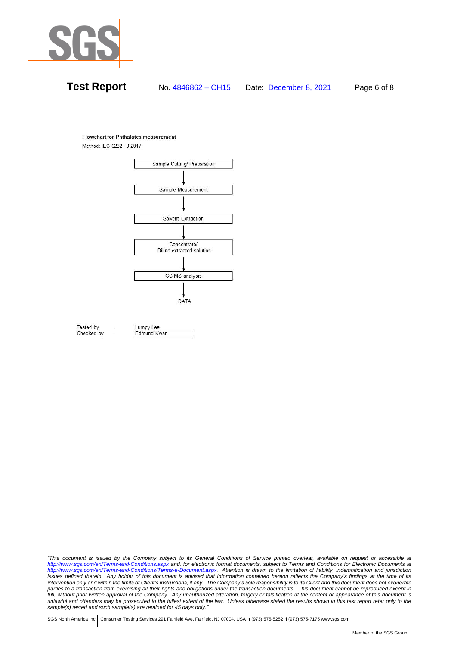

# **Test Report** No. 4846862 – CH15 Date: December 8, 2021 Page 6 of 8

#### **Flowchart for Phthalates measurement**

Method: IEC 62321-8:2017



Tested by Checked by Lumpy Lee Edmund Kwan

*"This document is issued by the Company subject to its General Conditions of Service printed overleaf, available on request or accessible at <http://www.sgs.com/en/Terms-and-Conditions.aspx> and, for electronic format documents, subject to Terms and Conditions for Electronic Documents at [http://www.sgs.com/en/Terms-and-Conditions/Terms-e-Document.aspx.](http://www.sgs.com/en/Terms-and-Conditions/Terms-e-Document.aspx) Attention is drawn to the limitation of liability, indemnification and jurisdiction issues defined therein. Any holder of this document is advised that information contained hereon reflects the Company's findings at the time of its intervention only and within the limits of Client's instructions, if any. The Company's sole responsibility is to its Client and this document does not exonerate*  parties to a transaction from exercising all their rights and obligations under the transaction documents. This document cannot be reproduced except in *full, without prior written approval of the Company. Any unauthorized alteration, forgery or falsification of the content or appearance of this document is unlawful and offenders may be prosecuted to the fullest extent of the law. Unless otherwise stated the results shown in this test report refer only to the sample(s) tested and such sample(s) are retained for 45 days only."*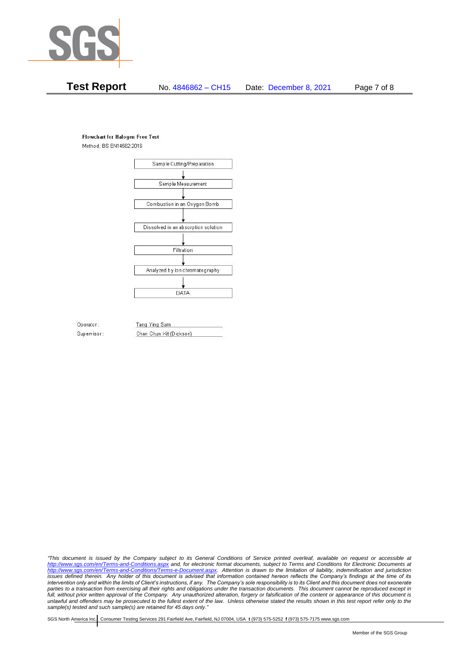

## **Test Report** No. 4846862 – CH15 Date: December 8, 2021 Page 7 of 8

#### **Flowchart for Halogen Free Test**

Method: BS EN14582:2016



Operator: Supervisor: Tang Ying Sam Chan Chun Kit (Dickson)

*"This document is issued by the Company subject to its General Conditions of Service printed overleaf, available on request or accessible at <http://www.sgs.com/en/Terms-and-Conditions.aspx> and, for electronic format documents, subject to Terms and Conditions for Electronic Documents at [http://www.sgs.com/en/Terms-and-Conditions/Terms-e-Document.aspx.](http://www.sgs.com/en/Terms-and-Conditions/Terms-e-Document.aspx) Attention is drawn to the limitation of liability, indemnification and jurisdiction issues defined therein. Any holder of this document is advised that information contained hereon reflects the Company's findings at the time of its intervention only and within the limits of Client's instructions, if any. The Company's sole responsibility is to its Client and this document does not exonerate*  parties to a transaction from exercising all their rights and obligations under the transaction documents. This document cannot be reproduced except in *full, without prior written approval of the Company. Any unauthorized alteration, forgery or falsification of the content or appearance of this document is unlawful and offenders may be prosecuted to the fullest extent of the law. Unless otherwise stated the results shown in this test report refer only to the sample(s) tested and such sample(s) are retained for 45 days only."*